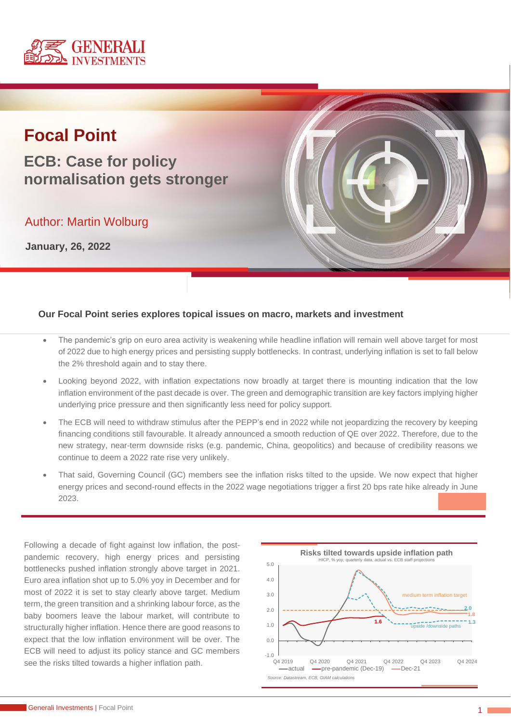

# **Focal Point**

**ECB: Case for policy normalisation gets stronger**

Author: Martin Wolburg

**January, 26, 2022**



### **Our Focal Point series explores topical issues on macro, markets and investment**

- The pandemic's grip on euro area activity is weakening while headline inflation will remain well above target for most of 2022 due to high energy prices and persisting supply bottlenecks. In contrast, underlying inflation is set to fall below the 2% threshold again and to stay there.
- Looking beyond 2022, with inflation expectations now broadly at target there is mounting indication that the low inflation environment of the past decade is over. The green and demographic transition are key factors implying higher underlying price pressure and then significantly less need for policy support.
- The ECB will need to withdraw stimulus after the PEPP's end in 2022 while not jeopardizing the recovery by keeping financing conditions still favourable. It already announced a smooth reduction of QE over 2022. Therefore, due to the new strategy, near-term downside risks (e.g. pandemic, China, geopolitics) and because of credibility reasons we continue to deem a 2022 rate rise very unlikely.
- That said, Governing Council (GC) members see the inflation risks tilted to the upside. We now expect that higher energy prices and second-round effects in the 2022 wage negotiations trigger a first 20 bps rate hike already in June 2023.

Following a decade of fight against low inflation, the postpandemic recovery, high energy prices and persisting bottlenecks pushed inflation strongly above target in 2021. Euro area inflation shot up to 5.0% yoy in December and for most of 2022 it is set to stay clearly above target. Medium term, the green transition and a shrinking labour force, as the baby boomers leave the labour market, will contribute to structurally higher inflation. Hence there are good reasons to expect that the low inflation environment will be over. The ECB will need to adjust its policy stance and GC members see the risks tilted towards a higher inflation path.

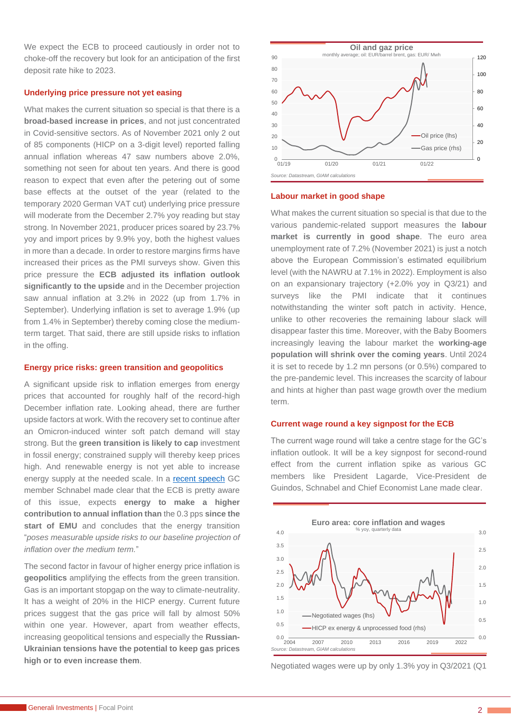We expect the ECB to proceed cautiously in order not to choke-off the recovery but look for an anticipation of the first deposit rate hike to 2023.

#### **Underlying price pressure not yet easing**

What makes the current situation so special is that there is a **broad-based increase in prices**, and not just concentrated in Covid-sensitive sectors. As of November 2021 only 2 out of 85 components (HICP on a 3-digit level) reported falling annual inflation whereas 47 saw numbers above 2.0%, something not seen for about ten years. And there is good reason to expect that even after the petering out of some base effects at the outset of the year (related to the temporary 2020 German VAT cut) underlying price pressure will moderate from the December 2.7% yoy reading but stay strong. In November 2021, producer prices soared by 23.7% yoy and import prices by 9.9% yoy, both the highest values in more than a decade. In order to restore margins firms have increased their prices as the PMI surveys show. Given this price pressure the **ECB adjusted its inflation outlook significantly to the upside** and in the December projection saw annual inflation at 3.2% in 2022 (up from 1.7% in September). Underlying inflation is set to average 1.9% (up from 1.4% in September) thereby coming close the mediumterm target. That said, there are still upside risks to inflation in the offing.

#### **Energy price risks: green transition and geopolitics**

A significant upside risk to inflation emerges from energy prices that accounted for roughly half of the record-high December inflation rate. Looking ahead, there are further upside factors at work. With the recovery set to continue after an Omicron-induced winter soft patch demand will stay strong. But the **green transition is likely to cap** investment in fossil energy; constrained supply will thereby keep prices high. And renewable energy is not yet able to increase energy supply at the needed scale. In a [recent speech](https://www.ecb.europa.eu/press/key/date/2022/html/ecb.sp220108~0425a24eb7.en.html) GC member Schnabel made clear that the ECB is pretty aware of this issue, expects **energy to make a higher contribution to annual inflation than** the 0.3 pps **since the**  start of **EMU** and concludes that the energy transition "*poses measurable upside risks to our baseline projection of inflation over the medium term.*"

The second factor in favour of higher energy price inflation is **geopolitics** amplifying the effects from the green transition. Gas is an important stopgap on the way to climate-neutrality. It has a weight of 20% in the HICP energy. Current future prices suggest that the gas price will fall by almost 50% within one year. However, apart from weather effects, increasing geopolitical tensions and especially the **Russian-Ukrainian tensions have the potential to keep gas prices high or to even increase them**.



#### **Labour market in good shape**

What makes the current situation so special is that due to the various pandemic-related support measures the **labour market is currently in good shape**. The euro area unemployment rate of 7.2% (November 2021) is just a notch above the European Commission's estimated equilibrium level (with the NAWRU at 7.1% in 2022). Employment is also on an expansionary trajectory (+2.0% yoy in Q3/21) and surveys like the PMI indicate that it continues notwithstanding the winter soft patch in activity. Hence, unlike to other recoveries the remaining labour slack will disappear faster this time. Moreover, with the Baby Boomers increasingly leaving the labour market the **working-age population will shrink over the coming years**. Until 2024 it is set to recede by 1.2 mn persons (or 0.5%) compared to the pre-pandemic level. This increases the scarcity of labour and hints at higher than past wage growth over the medium term.

#### **Current wage round a key signpost for the ECB**

The current wage round will take a centre stage for the GC's inflation outlook. It will be a key signpost for second-round effect from the current inflation spike as various GC members like President Lagarde, Vice-President de Guindos, Schnabel and Chief Economist Lane made clear.



Negotiated wages were up by only 1.3% yoy in Q3/2021 (Q1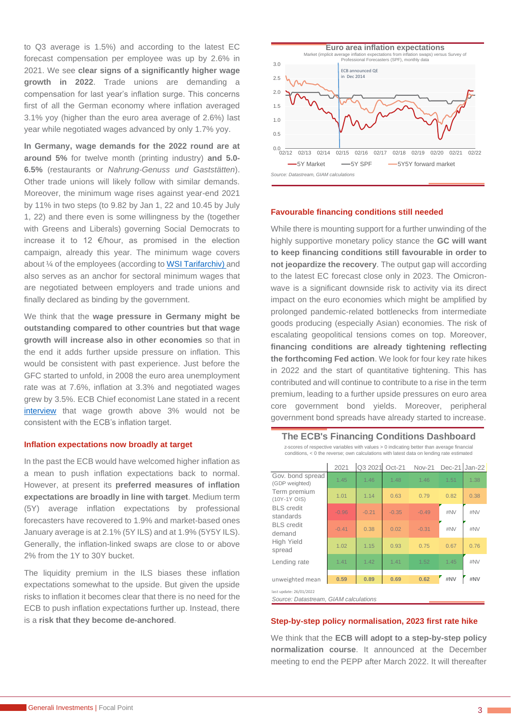to Q3 average is 1.5%) and according to the latest EC forecast compensation per employee was up by 2.6% in 2021. We see **clear signs of a significantly higher wage growth in 2022**. Trade unions are demanding a compensation for last year's inflation surge. This concerns first of all the German economy where inflation averaged 3.1% yoy (higher than the euro area average of 2.6%) last year while negotiated wages advanced by only 1.7% yoy.

**In Germany, wage [demands for the 2022](https://www.wsi.de/de/forderungen-37241.htm) round are at around 5%** for twelve month (printing industry) **and 5.0- 6.5%** (restaurants or *Nahrung-Genuss und Gaststätten*). Other trade unions will likely follow with similar demands. Moreover, the minimum wage rises against year-end 2021 by 11% in two steps (to 9.82 by Jan 1, 22 and 10.45 by July 1, 22) and there even is some willingness by the (together with Greens and Liberals) governing Social Democrats to increase it to 12 €/hour, as promised in the election campaign, already this year. The minimum wage covers about ¼ of the employees (according to [WSI Tarifarchiv\)](https://www.wirtschaftsdienst.eu/inhalt/jahr/2019/heft/5/beitrag/mindestlohn-von-12-euro-auswirkungen-und-perspektiven.html) and also serves as an anchor for sectoral minimum wages that are negotiated between employers and trade unions and finally declared as binding by the government.

We think that the **wage pressure in Germany might be outstanding compared to other countries but that wage growth will increase also in other economies** so that in the end it adds further upside pressure on inflation. This would be consistent with past experience. Just before the GFC started to unfold, in 2008 the euro area unemployment rate was at 7.6%, inflation at 3.3% and negotiated wages grew by 3.5%. ECB Chief economist Lane stated in a recent [interview](https://www.ecb.europa.eu/press/inter/date/2022/html/ecb.in220125~bcca1469e6.en.html) that wage growth above 3% would not be consistent with the ECB's inflation target.

#### **Inflation expectations now broadly at target**

In the past the ECB would have welcomed higher inflation as a mean to push inflation expectations back to normal. However, at present its **preferred measures of inflation expectations are broadly in line with target**. Medium term (5Y) average inflation expectations by professional forecasters have recovered to 1.9% and market-based ones January average is at 2.1% (5Y ILS) and at 1.9% (5Y5Y ILS). Generally, the inflation-linked swaps are close to or above 2% from the 1Y to 30Y bucket.

The liquidity premium in the ILS biases these inflation expectations somewhat to the upside. But given the upside risks to inflation it becomes clear that there is no need for the ECB to push inflation expectations further up. Instead, there is a **risk that they become de-anchored**.



#### **Favourable financing conditions still needed**

While there is mounting support for a further unwinding of the highly supportive monetary policy stance the **GC will want to keep financing conditions still favourable in order to not jeopardize the recovery**. The output gap will according to the latest EC forecast close only in 2023. The Omicronwave is a significant downside risk to activity via its direct impact on the euro economies which might be amplified by prolonged pandemic-related bottlenecks from intermediate goods producing (especially Asian) economies. The risk of escalating geopolitical tensions comes on top. Moreover, **financing conditions are already tightening reflecting the forthcoming Fed action**. We look for four key rate hikes in 2022 and the start of quantitative tightening. This has contributed and will continue to contribute to a rise in the term premium, leading to a further upside pressures on euro area core government bond yields. Moreover, peripheral government bond spreads have already started to increase.

#### **The ECB's Financing Conditions Dashboard**

z-scores of respective variables with values > 0 indicating better than average financial conditions, < 0 the reverse; own calculations with latest data on lending rate estimated

|                                    | 2021    | Q3 2021 | $Oct-21$ | <b>Nov-21</b> | Dec-21 Jan-22 |      |
|------------------------------------|---------|---------|----------|---------------|---------------|------|
| Gov. bond spread<br>(GDP weighted) | 1.45    | 1.46    | 1.48     | 1.46          | 1.51          | 1.38 |
| Term premium<br>(10Y-1Y OIS)       | 1.01    | 1.14    | 0.63     | 0.79          | 0.82          | 0.38 |
| <b>BLS</b> credit<br>standards     | $-0.96$ | $-0.21$ | $-0.35$  | $-0.49$       | #NV           | #NV  |
| <b>BLS</b> credit<br>demand        | $-0.41$ | 0.38    | 0.02     | $-0.31$       | #NV           | #NV  |
| <b>High Yield</b><br>spread        | 1.02    | 1.15    | 0.93     | 0.75          | 0.67          | 0.76 |
| Lending rate                       | 1.41    | 1.42    | 1.41     | 1.52          | 1.45          | #NV  |
| unweighted mean                    | 0.59    | 0.89    | 0.69     | 0.62          | #NV           | #NV  |
| last update: 26/01/2022            |         |         |          |               |               |      |

*Source: Datastream, GIAM calculations*

#### **Step-by-step policy normalisation, 2023 first rate hike**

We think that the **ECB will adopt to a step-by-step policy normalization course**. It announced at the December meeting to end the PEPP after March 2022. It will thereafter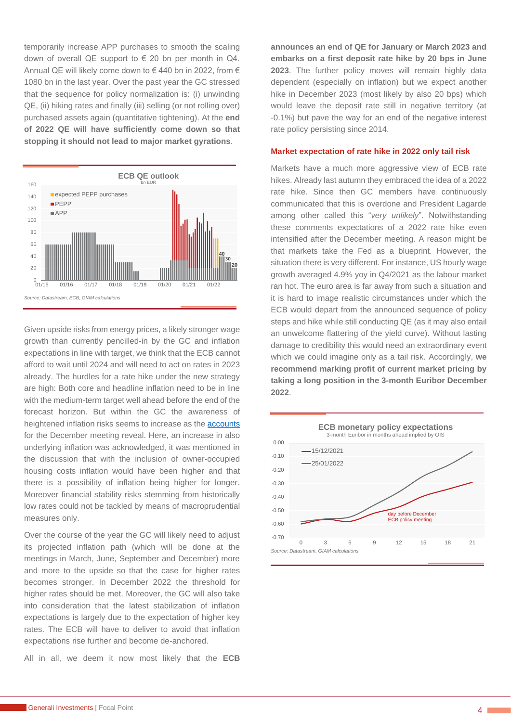temporarily increase APP purchases to smooth the scaling down of overall QE support to  $\epsilon$  20 bn per month in Q4. Annual QE will likely come down to € 440 bn in 2022, from € 1080 bn in the last year. Over the past year the GC stressed that the sequence for policy normalization is: (i) unwinding QE, (ii) hiking rates and finally (iii) selling (or not rolling over) purchased assets again (quantitative tightening). At the **end of 2022 QE will have sufficiently come down so that stopping it should not lead to major market gyrations**.



Given upside risks from energy prices, a likely stronger wage growth than currently pencilled-in by the GC and inflation expectations in line with target, we think that the ECB cannot afford to wait until 2024 and will need to act on rates in 2023 already. The hurdles for a rate hike under the new strategy are high: Both core and headline inflation need to be in line with the medium-term target well ahead before the end of the forecast horizon. But within the GC the awareness of heightened inflation risks seems to increase as the **accounts** for the December meeting reveal. Here, an increase in also underlying inflation was acknowledged, it was mentioned in the discussion that with the inclusion of owner-occupied housing costs inflation would have been higher and that there is a possibility of inflation being higher for longer. Moreover financial stability risks stemming from historically low rates could not be tackled by means of macroprudential measures only.

Over the course of the year the GC will likely need to adjust its projected inflation path (which will be done at the meetings in March, June, September and December) more and more to the upside so that the case for higher rates becomes stronger. In December 2022 the threshold for higher rates should be met. Moreover, the GC will also take into consideration that the latest stabilization of inflation expectations is largely due to the expectation of higher key rates. The ECB will have to deliver to avoid that inflation expectations rise further and become de-anchored.

All in all, we deem it now most likely that the **ECB** 

**announces an end of QE for January or March 2023 and embarks on a first deposit rate hike by 20 bps in June 2023**. The further policy moves will remain highly data dependent (especially on inflation) but we expect another hike in December 2023 (most likely by also 20 bps) which would leave the deposit rate still in negative territory (at -0.1%) but pave the way for an end of the negative interest rate policy persisting since 2014.

#### **Market expectation of rate hike in 2022 only tail risk**

Markets have a much more aggressive view of ECB rate hikes. Already last autumn they embraced the idea of a 2022 rate hike. Since then GC members have continuously communicated that this is overdone and President Lagarde among other called this "*very unlikely*". Notwithstanding these comments expectations of a 2022 rate hike even intensified after the December meeting. A reason might be that markets take the Fed as a blueprint. However, the situation there is very different. For instance, US hourly wage growth averaged 4.9% yoy in Q4/2021 as the labour market ran hot. The euro area is far away from such a situation and it is hard to image realistic circumstances under which the ECB would depart from the announced sequence of policy steps and hike while still conducting QE (as it may also entail an unwelcome flattering of the yield curve). Without lasting damage to credibility this would need an extraordinary event which we could imagine only as a tail risk. Accordingly, **we recommend marking profit of current market pricing by taking a long position in the 3-month Euribor December 2022**.